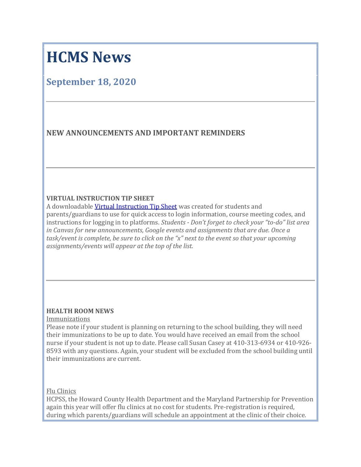# **HCMS News**

# **September 18, 2020**

# **NEW ANNOUNCEMENTS AND IMPORTANT REMINDERS**

# **VIRTUAL INSTRUCTION TIP SHEET**

A downloadable Virtual [Instruction](https://nam01.safelinks.protection.outlook.com/?url=http:%2F%2Ftrack.spe.schoolmessenger.com%2Ff%2Fa%2F7jr0pKAH1qOk7_CRxeavKg~~%2FAAAAAQA~%2FRgRhRiTFP0R1aHR0cHM6Ly9tc2cuc2Nob29sbWVzc2VuZ2VyLmNvbS9tLz9zPVhEZm9OR0Y4bjQ0Jm1hbD1iZDExMjY1NWM2ZmY3MTEwOWFjMmUwNTM5NWMxYzJmYjZkYzJhZDEwMGYxZDFkZmVkMTUzMjk1Yjg4ZWZlMzNlVwdzY2hvb2xtQgoAR0XxZF8WbwYeUhhhbGx5c29uX2hhd2tlc0BoY3Bzcy5vcmdYBAAAAAE~&data=02%7C01%7Callyson_hawkes%40hcpss.org%7C3669ba9f3a6b46ab503c08d85bfa1295%7C96a9ac4c477e4dada2b28ad3fc46790b%7C1%7C0%7C637360476894266868&sdata=Gguejz%2Bwv0eLulLJURDQ67xaqxY%2BPFArkhkOmoZyPik%3D&reserved=0) Tip Sheet was created for students and parents/guardians to use for quick access to login information, course meeting codes, and instructions for logging in to platforms. *Students - Don't forget to check your "to-do" list area in Canvas for new announcements, Google events and assignments that are due. Once a task/event is complete, be sure to click on the "x" next to the event so that your upcoming assignments/events will appear at the top of the list.*

# **HEALTH ROOM NEWS**

#### Immunizations

Please note if your student is planning on returning to the school building, they will need their immunizations to be up to date. You would have received an email from the school nurse if your student is not up to date. Please call Susan Casey at 410-313-6934 or 410-926- 8593 with any questions. Again, your student will be excluded from the school building until their immunizations are current.

Flu Clinics

HCPSS, the Howard County Health Department and the Maryland Partnership for Prevention again this year will offer flu clinics at no cost for students. Pre-registration is required, during which parents/guardians will schedule an appointment at the clinic of their choice.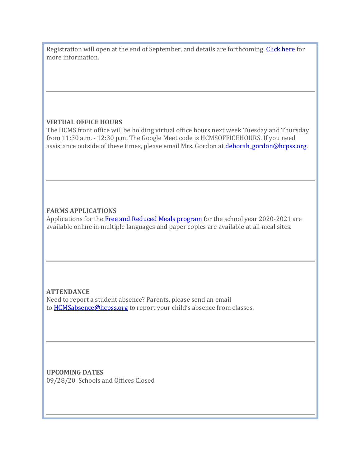Registration will open at the end of September, and details are forthcoming. [Click](https://nam01.safelinks.protection.outlook.com/?url=http:%2F%2Ftrack.spe.schoolmessenger.com%2Ff%2Fa%2FLk5x_F4Mqyp-7AgBcWBMrg~~%2FAAAAAQA~%2FRgRhRiTFP0SjaHR0cHM6Ly9uZXdzLmhjcHNzLm9yZy9uZXdzLXBvc3RzLzIwMjAvMDkvaGNwc3MtZnJlZS1mbHUtY2xpbmljcy1vY3RvYmVyLTIwMjAvIzp-OnRleHQ9SENQU1MlMkMlMjB0aGUlMjBIb3dhcmQlMjBDb3VudHklMjBIZWFsdGgsYW5kJTIwbWF5JTIwYXR0ZW5kJTIwYW55JTIwY2xpbmljLlcHc2Nob29sbUIKAEdF8WRfFm8GHlIYYWxseXNvbl9oYXdrZXNAaGNwc3Mub3JnWAQAAAAB&data=02%7C01%7Callyson_hawkes%40hcpss.org%7C3669ba9f3a6b46ab503c08d85bfa1295%7C96a9ac4c477e4dada2b28ad3fc46790b%7C1%7C0%7C637360476894276863&sdata=Z9XQ2tzvgwdpyiizZ3Zculm2TTciDiZJtrQpauur3Wg%3D&reserved=0) here for more information.

# **VIRTUAL OFFICE HOURS**

The HCMS front office will be holding virtual office hours next week Tuesday and Thursday from 11:30 a.m. - 12:30 p.m. The Google Meet code is HCMSOFFICEHOURS. If you need assistance outside of these times, please email Mrs. Gordon at *deborah gordon@hcpss.org*.

# **FARMS APPLICATIONS**

Applications for the Free and Reduced Meals [program](https://nam01.safelinks.protection.outlook.com/?url=http:%2F%2Ftrack.spe.schoolmessenger.com%2Ff%2Fa%2FZhOMi3jKwGD-oS-thgCPQA~~%2FAAAAAQA~%2FRgRhRiTFP0QqaHR0cHM6Ly93d3cuaGNwc3Mub3JnL2Zvb2Qtc2VydmljZXMvZmFybXMvVwdzY2hvb2xtQgoAR0XxZF8WbwYeUhhhbGx5c29uX2hhd2tlc0BoY3Bzcy5vcmdYBAAAAAE~&data=02%7C01%7Callyson_hawkes%40hcpss.org%7C3669ba9f3a6b46ab503c08d85bfa1295%7C96a9ac4c477e4dada2b28ad3fc46790b%7C1%7C0%7C637360476894276863&sdata=3osEpf4izgNRS3uGuOA%2FLCrMAaauwDgP4w0oOzGsCIo%3D&reserved=0) for the school year 2020-2021 are available online in multiple languages and paper copies are available at all meal sites.

# **ATTENDANCE**

Need to report a student absence? Parents, please send an email to **[HCMSabsence@hcpss.org](mailto:HCMSabsence@hcpss.org)** to report your child's absence from classes.

**UPCOMING DATES** 09/28/20 Schools and Offices Closed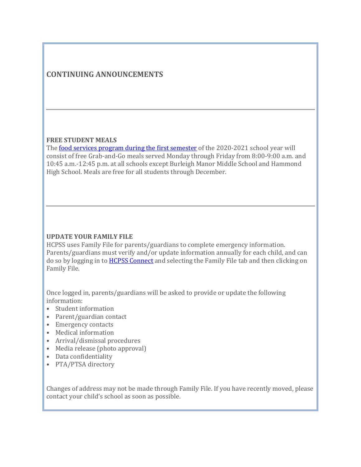# **CONTINUING ANNOUNCEMENTS**

#### **FREE STUDENT MEALS**

The <u>food services program during the first [semester](https://nam01.safelinks.protection.outlook.com/?url=http:%2F%2Ftrack.spe.schoolmessenger.com%2Ff%2Fa%2FJZ-9VHR9A1svIuTFrqjSIQ~~%2FAAAAAQA~%2FRgRhRiTFP0RXaHR0cHM6Ly9uZXdzLmhjcHNzLm9yZy9uZXdzLXBvc3RzLzIwMjAvMDgvc3R1ZGVudC1tZWFscy1kdXJpbmctMjAyMC0yMDIxLWZhbGwtc2VtZXN0ZXIvVwdzY2hvb2xtQgoAR0XxZF8WbwYeUhhhbGx5c29uX2hhd2tlc0BoY3Bzcy5vcmdYBAAAAAE~&data=02%7C01%7Callyson_hawkes%40hcpss.org%7C3669ba9f3a6b46ab503c08d85bfa1295%7C96a9ac4c477e4dada2b28ad3fc46790b%7C1%7C0%7C637360476894286857&sdata=8mshR2SyNdtwVwBv8Lbg3DP8PStRM6HT4EdTf4y6eXc%3D&reserved=0)</u> of the 2020-2021 school year will consist of free Grab-and-Go meals served Monday through Friday from 8:00-9:00 a.m. and 10:45 a.m.-12:45 p.m. at all schools except Burleigh Manor Middle School and Hammond High School. Meals are free for all students through December.

## **UPDATE YOUR FAMILY FILE**

HCPSS uses Family File for parents/guardians to complete emergency information. Parents/guardians must verify and/or update information annually for each child, and can do so by logging in to **HCPSS [Connect](https://nam01.safelinks.protection.outlook.com/?url=http:%2F%2Ftrack.spe.schoolmessenger.com%2Ff%2Fa%2FbjooEgeQuhcIJQqv6WchjA~~%2FAAAAAQA~%2FRgRhRiTFP0QeaHR0cHM6Ly93d3cuaGNwc3Mub3JnL2Nvbm5lY3QvVwdzY2hvb2xtQgoAR0XxZF8WbwYeUhhhbGx5c29uX2hhd2tlc0BoY3Bzcy5vcmdYBAAAAAE~&data=02%7C01%7Callyson_hawkes%40hcpss.org%7C3669ba9f3a6b46ab503c08d85bfa1295%7C96a9ac4c477e4dada2b28ad3fc46790b%7C1%7C0%7C637360476894286857&sdata=2xHn%2BBLV3NJzPnQu8P8yE32qRGEpiCKOkN48bLbixco%3D&reserved=0)** and selecting the Family File tab and then clicking on Family File.

Once logged in, parents/guardians will be asked to provide or update the following information:

- Student information
- Parent/guardian contact
- Emergency contacts
- Medical information
- Arrival/dismissal procedures
- Media release (photo approval)
- Data confidentiality
- PTA/PTSA directory

Changes of address may not be made through Family File. If you have recently moved, please contact your child's school as soon as possible.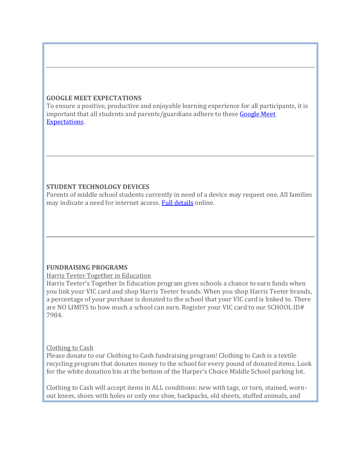## **GOOGLE MEET EXPECTATIONS**

To ensure a positive, productive and enjoyable learning experience for all participants, it is important that all students and parents/guardians adhere to these [Google](https://nam01.safelinks.protection.outlook.com/?url=http:%2F%2Ftrack.spe.schoolmessenger.com%2Ff%2Fa%2FqAI40tGZ200ck9A6cBjPyw~~%2FAAAAAQA~%2FRgRhRiTFP0RmaHR0cHM6Ly9uZXdzLmhjcHNzLm9yZy9uZXdzLXBvc3RzLzIwMjAvMDQvZ29vZ2xlLW1lZXQtZXhwZWN0YXRpb25zLWZvci1zdHVkZW50cy1hbmQtcGFyZW50cy1ndWFyZGlhbnMvVwdzY2hvb2xtQgoAR0XxZF8WbwYeUhhhbGx5c29uX2hhd2tlc0BoY3Bzcy5vcmdYBAAAAAE~&data=02%7C01%7Callyson_hawkes%40hcpss.org%7C3669ba9f3a6b46ab503c08d85bfa1295%7C96a9ac4c477e4dada2b28ad3fc46790b%7C1%7C0%7C637360476894296850&sdata=YWos1dcITTJSqStQHiPIqX5SD3FM1ha33KNSx1EjXqo%3D&reserved=0) Meet [Expectations.](https://nam01.safelinks.protection.outlook.com/?url=http:%2F%2Ftrack.spe.schoolmessenger.com%2Ff%2Fa%2FqAI40tGZ200ck9A6cBjPyw~~%2FAAAAAQA~%2FRgRhRiTFP0RmaHR0cHM6Ly9uZXdzLmhjcHNzLm9yZy9uZXdzLXBvc3RzLzIwMjAvMDQvZ29vZ2xlLW1lZXQtZXhwZWN0YXRpb25zLWZvci1zdHVkZW50cy1hbmQtcGFyZW50cy1ndWFyZGlhbnMvVwdzY2hvb2xtQgoAR0XxZF8WbwYeUhhhbGx5c29uX2hhd2tlc0BoY3Bzcy5vcmdYBAAAAAE~&data=02%7C01%7Callyson_hawkes%40hcpss.org%7C3669ba9f3a6b46ab503c08d85bfa1295%7C96a9ac4c477e4dada2b28ad3fc46790b%7C1%7C0%7C637360476894296850&sdata=YWos1dcITTJSqStQHiPIqX5SD3FM1ha33KNSx1EjXqo%3D&reserved=0)

# **STUDENT TECHNOLOGY DEVICES**

Parents of middle school students currently in need of a device may request one. All families may indicate a need for internet access. Full [details](https://nam01.safelinks.protection.outlook.com/?url=http:%2F%2Ftrack.spe.schoolmessenger.com%2Ff%2Fa%2F1zia4NQ6_RwWiLZ7wLUt1Q~~%2FAAAAAQA~%2FRgRhRiTFP0RlaHR0cHM6Ly9uZXdzLmhjcHNzLm9yZy9uZXdzLXBvc3RzLzIwMjAvMDgvbG9nLWluLW5vdy10by1pZGVudGlmeS1uZWVkLWZvci1jaHJvbWVib29rLWFuZC1vci1pbnRlcm5ldC9XB3NjaG9vbG1CCgBHRfFkXxZvBh5SGGFsbHlzb25faGF3a2VzQGhjcHNzLm9yZ1gEAAAAAQ~~&data=02%7C01%7Callyson_hawkes%40hcpss.org%7C3669ba9f3a6b46ab503c08d85bfa1295%7C96a9ac4c477e4dada2b28ad3fc46790b%7C1%7C0%7C637360476894296850&sdata=ZcmHKyTFUWnV9vrlCyiCv44VuiHLkAjl53fCLLweweg%3D&reserved=0) online.

# **FUNDRAISING PROGRAMS**

Harris Teeter Together in Education

Harris Teeter's Together In Education program gives schools a chance to earn funds when you link your VIC card and shop Harris Teeter brands. When you shop Harris Teeter brands, a percentage of your purchase is donated to the school that your VIC card is linked to. There are NO LIMITS to how much a school can earn. Register your VIC card to our SCHOOL ID# 7984.

# Clothing to Cash

Please donate to our Clothing to Cash fundraising program! Clothing to Cash is a textile recycling program that donates money to the school for every pound of donated items. Look for the white donation bin at the bottom of the Harper's Choice Middle School parking lot.

Clothing to Cash will accept items in ALL conditions: new with tags, or torn, stained, wornout knees, shoes with holes or only one shoe, backpacks, old sheets, stuffed animals, and